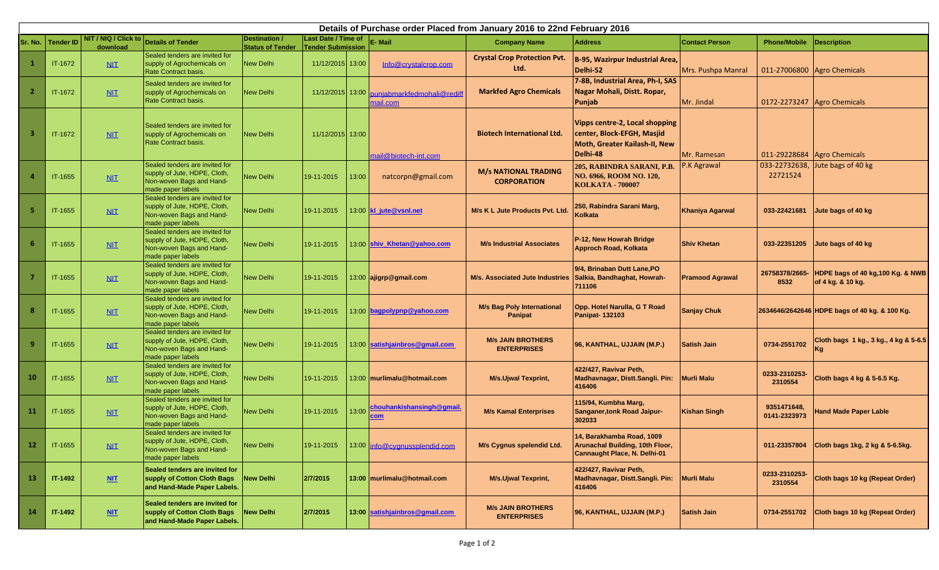|           | Details of Purchase order Placed from January 2016 to 22nd February 2016 |                                  |                                                                                                                 |                                          |                                                        |       |                                                        |                                                     |                                                                                                           |                        |                             |                                                        |
|-----------|--------------------------------------------------------------------------|----------------------------------|-----------------------------------------------------------------------------------------------------------------|------------------------------------------|--------------------------------------------------------|-------|--------------------------------------------------------|-----------------------------------------------------|-----------------------------------------------------------------------------------------------------------|------------------------|-----------------------------|--------------------------------------------------------|
| Sr. No.   | <b>Tender ID</b>                                                         | NIT / NIQ / Click to<br>download | <b>Details of Tender</b>                                                                                        | Destination /<br><b>Status of Tender</b> | <b>Last Date / Time of</b><br><b>Tender Submission</b> |       | E-Mail                                                 | <b>Company Name</b>                                 | <b>Address</b>                                                                                            | <b>Contact Person</b>  | <b>Phone/Mobile</b>         | <b>Description</b>                                     |
|           | IT-1672                                                                  | NIT                              | Sealed tenders are invited for<br>supply of Agrochemicals on<br><b>Rate Contract basis</b>                      | <b>New Delhi</b>                         | 11/12/2015 13:00                                       |       | Info@crystalcrop.com                                   | <b>Crystal Crop Protection Pvt.</b><br>Ltd.         | B-95, Wazirpur Industrial Area,<br>Delhi-52                                                               | Mrs. Pushpa Manral     |                             | 011-27006800 Agro Chemicals                            |
|           | IT-1672                                                                  | NIT                              | Sealed tenders are invited for<br>supply of Agrochemicals on<br>Rate Contract basis.                            | <b>New Delhi</b>                         |                                                        |       | 11/12/2015 13:00 puniabmarkfedmohali@redif<br>mail.com | <b>Markfed Agro Chemicals</b>                       | 7-8B, Industrial Area, Ph-I, SAS<br>Nagar Mohali, Distt. Ropar,<br>Punjab                                 | Mr. Jindal             |                             | 0172-2273247 Agro Chemicals                            |
|           | IT-1672                                                                  | <b>NIT</b>                       | Sealed tenders are invited for<br>supply of Agrochemicals on<br>Rate Contract basis.                            | <b>New Delhi</b>                         | 11/12/2015 13:00                                       |       | mail@biotech-int.com                                   | <b>Biotech International Ltd.</b>                   | Vipps centre-2, Local shopping<br>center, Block-EFGH, Masjid<br>Moth, Greater Kailash-II, New<br>Delhi-48 | Mr. Ramesan            | 011-29228684                | Agro Chemicals                                         |
|           | IT-1655                                                                  | ML                               | Sealed tenders are invited for<br>supply of Jute, HDPE, Cloth,<br>Non-woven Bags and Hand-<br>made paper labels | <b>New Delhi</b>                         | 19-11-2015                                             | 13:00 | natcorpn@gmail.com                                     | <b>M/s NATIONAL TRADING</b><br><b>CORPORATION</b>   | 205, RABINDRA SARANI, P.B.<br>NO. 6966, ROOM NO. 120,<br><b>KOLKATA - 700007</b>                          | P.K Agrawal            | 033-22732638,<br>22721524   | Jute bags of 40 kg                                     |
| -5        | IT-1655                                                                  | ML                               | Sealed tenders are invited for<br>supply of Jute, HDPE, Cloth,<br>Non-woven Bags and Hand-<br>made paper labels | <b>New Delhi</b>                         | 19-11-2015                                             |       | 13:00 kl jute@vsnl.net                                 | M/s K L Jute Products Pvt. Ltd.                     | 250, Rabindra Sarani Marg,<br>Kolkata                                                                     | <b>Khaniya Agarwal</b> | 033-22421681                | Jute bags of 40 kg                                     |
| 6         | IT-1655                                                                  | ML                               | Sealed tenders are invited for<br>supply of Jute, HDPE, Cloth,<br>Non-woven Bags and Hand-<br>made paper labels | <b>New Delhi</b>                         | 19-11-2015                                             |       | 13:00 shiv Khetan@yahoo.com                            | <b>M/s Industrial Associates</b>                    | P-12, New Howrah Bridge<br><b>Approch Road, Kolkata</b>                                                   | <b>Shiv Khetan</b>     | 033-22351205                | Jute bags of 40 kg                                     |
|           | IT-1655                                                                  | ML                               | Sealed tenders are invited for<br>supply of Jute, HDPE, Cloth,<br>Non-woven Bags and Hand-<br>made paper labels | <b>New Delhi</b>                         | 19-11-2015                                             |       | 13:00 ajigrp@gmail.com                                 | M/s. Associated Jute Industries                     | 9/4, Brinaban Dutt Lane, PO<br>Salkia, Bandhaghat, Howrah-<br>711106                                      | <b>Pramood Agrawal</b> | 26758378/2665-<br>8532      | HDPE bags of 40 kg, 100 Kg. & NWB<br>of 4 kg. & 10 kg. |
| -8        | IT-1655                                                                  | ML                               | Sealed tenders are invited for<br>supply of Jute, HDPE, Cloth,<br>Non-woven Bags and Hand-<br>made paper labels | <b>New Delhi</b>                         | 19-11-2015                                             |       | 13:00 bagpolypnp@yahoo.com                             | <b>M/s Bag Poly International</b><br><b>Panipat</b> | Opp. Hotel Narulla, G T Road<br><b>Panipat-132103</b>                                                     | <b>Sanjay Chuk</b>     |                             | 2634646/2642646 HDPE bags of 40 kg. & 100 Kg.          |
| -9        | IT-1655                                                                  | ML                               | Sealed tenders are invited for<br>supply of Jute, HDPE, Cloth,<br>Non-woven Bags and Hand-<br>made paper labels | <b>New Delhi</b>                         | 19-11-2015                                             |       | 13:00 satishjainbros@qmail.com                         | <b>M/s JAIN BROTHERS</b><br><b>ENTERPRISES</b>      | 96, KANTHAL, UJJAIN (M.P.)                                                                                | <b>Satish Jain</b>     | 0734-2551702                | Cloth bags 1 kg., 3 kg., 4 kg & 5-6.5<br>Kg            |
| <b>10</b> | IT-1655                                                                  | ML                               | Sealed tenders are invited for<br>supply of Jute, HDPE, Cloth,<br>Non-woven Bags and Hand-<br>made paper labels | <b>New Delhi</b>                         | 19-11-2015                                             |       | 13:00 murlimalu@hotmail.com                            | <b>M/s.Ujwal Texprint,</b>                          | 422/427, Ravivar Peth,<br>Madhavnagar, Distt.Sangli. Pin:<br>416406                                       | <b>Murli Malu</b>      | 0233-2310253-<br>2310554    | Cloth bags 4 kg & 5-6.5 Kg.                            |
| <b>11</b> | IT-1655                                                                  | ML                               | Sealed tenders are invited for<br>supply of Jute, HDPE, Cloth,<br>Non-woven Bags and Hand-<br>made paper labels | <b>New Delhi</b>                         | 19-11-2015                                             | 13:00 | chouhankishansingh@gmail.                              | <b>M/s Kamal Enterprises</b>                        | 115/94, Kumbha Marg,<br><b>Sanganer, tonk Road Jaipur-</b><br>302033                                      | <b>Kishan Singh</b>    | 9351471648,<br>0141-2323973 | <b>Hand Made Paper Lable</b>                           |
| 12        | IT-1655                                                                  | ML                               | Sealed tenders are invited for<br>supply of Jute, HDPE, Cloth,<br>Non-woven Bags and Hand-<br>made paper labels | <b>New Delhi</b>                         | 19-11-2015                                             |       | 13:00 info@cygnussplendid.com                          | M/s Cygnus spelendid Ltd.                           | 14. Barakhamba Road, 1009<br><b>Arunachal Building, 10th Floor,</b><br>Cannaught Place, N. Delhi-01       |                        | 011-23357804                | Cloth bags 1kg, 2 kg & 5-6.5kg.                        |
| <b>13</b> | IT-1492                                                                  | NIT                              | Sealed tenders are invited for<br>supply of Cotton Cloth Bags<br>and Hand-Made Paper Labels.                    | <b>New Delhi</b>                         | 2/7/2015                                               |       | 13:00 murlimalu@hotmail.com                            | <b>M/s.Ujwal Texprint,</b>                          | 422/427, Ravivar Peth,<br>Madhavnagar, Distt.Sangli. Pin:<br>416406                                       | <b>Murli Malu</b>      | 0233-2310253-<br>2310554    | Cloth bags 10 kg (Repeat Order)                        |
| <b>14</b> | IT-1492                                                                  | M                                | Sealed tenders are invited for<br>supply of Cotton Cloth Bags<br>and Hand-Made Paper Labels.                    | <b>New Delhi</b>                         | 2/7/2015                                               |       | 13:00 satishjainbros@gmail.com                         | <b>M/s JAIN BROTHERS</b><br><b>ENTERPRISES</b>      | 96, KANTHAL, UJJAIN (M.P.)                                                                                | <b>Satish Jain</b>     | 0734-2551702                | Cloth bags 10 kg (Repeat Order)                        |